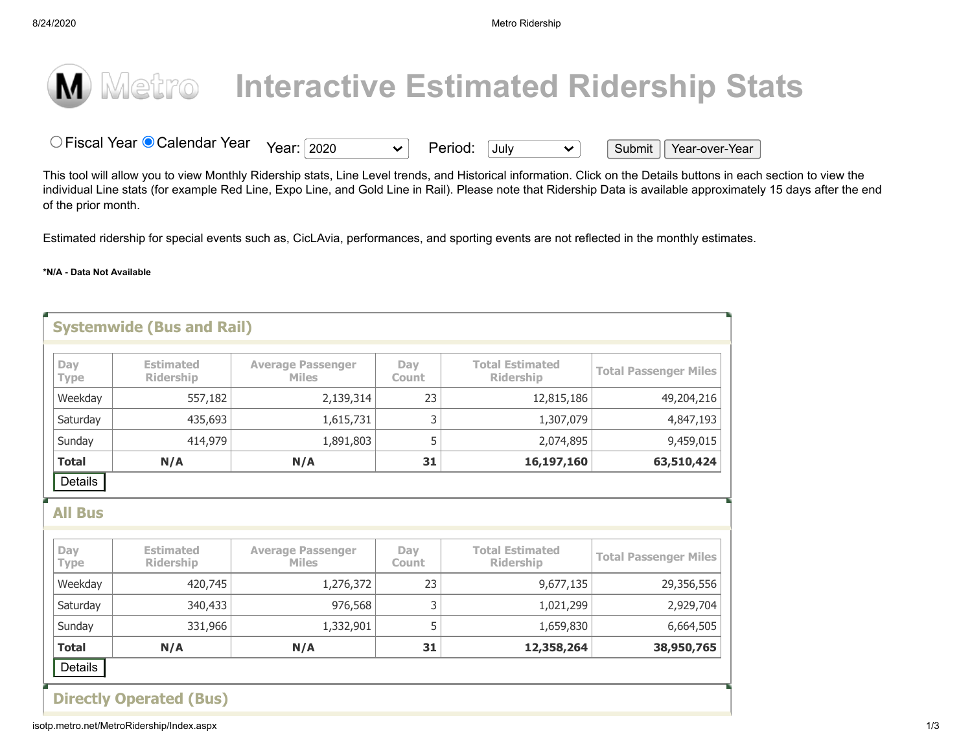-

## **M** Metro Interactive Estimated Ridership Stats<br>
O Fiscal Year © Calendar Year Year: 2020 <br>
Nis tool will allow you to view Monthly Ridership stats. Line Level trends. and Historical information. Click on the Details butto

O Fiscal Year © Calendar Year Year: 2020  $\vee$  Period: July  $\vee$  Submit Year-over-Year

This tool will allow you to view Monthly Ridership stats, Line Level trends, and Historical information. Click on the Details buttons in each section to view the individual Line stats (for example Red Line, Expo Line, and Gold Line in Rail). Please note that Ridership Data is available approximately 15 days after the end of the prior month.

Estimated ridership for special events such as, CicLAvia, performances, and sporting events are not reflected in the monthly estimates.

## **\*N/A - Data Not Available**

| Day<br><b>Type</b>                        | <b>Estimated</b><br><b>Ridership</b> | <b>Average Passenger</b><br><b>Miles</b> | Dav<br>Count        | <b>Total Estimated</b><br><b>Ridership</b> | <b>Total Passenger Miles</b>                                          |
|-------------------------------------------|--------------------------------------|------------------------------------------|---------------------|--------------------------------------------|-----------------------------------------------------------------------|
| Weekday                                   | 557,182                              | 2,139,314                                | 23                  | 12,815,186                                 | 49,204,216                                                            |
| Saturday                                  | 435,693                              | 1,615,731                                | 3                   | 1,307,079                                  | 4,847,193                                                             |
| Sunday                                    | 414,979                              | 1,891,803                                | 5                   | 2,074,895                                  | 9,459,015                                                             |
|                                           |                                      |                                          |                     |                                            |                                                                       |
| <b>Total</b><br>Details<br><b>All Bus</b> | N/A                                  | N/A                                      | 31                  | 16,197,160                                 |                                                                       |
| Day<br><b>Type</b>                        | <b>Estimated</b><br><b>Ridership</b> | <b>Average Passenger</b><br><b>Miles</b> | Day<br><b>Count</b> | <b>Total Estimated</b><br><b>Ridership</b> |                                                                       |
|                                           | 420,745                              | 1,276,372                                | 23                  | 9,677,135                                  |                                                                       |
| Weekday<br>Saturday                       | 340,433                              | 976,568                                  | 3                   | 1,021,299                                  | 63,510,424<br><b>Total Passenger Miles</b><br>29,356,556<br>2,929,704 |
| Sunday                                    | 331,966                              | 1,332,901                                | 5                   | 1,659,830                                  | 6,664,505                                                             |

isotp.metro.net/MetroRidership/Index.aspx 1/3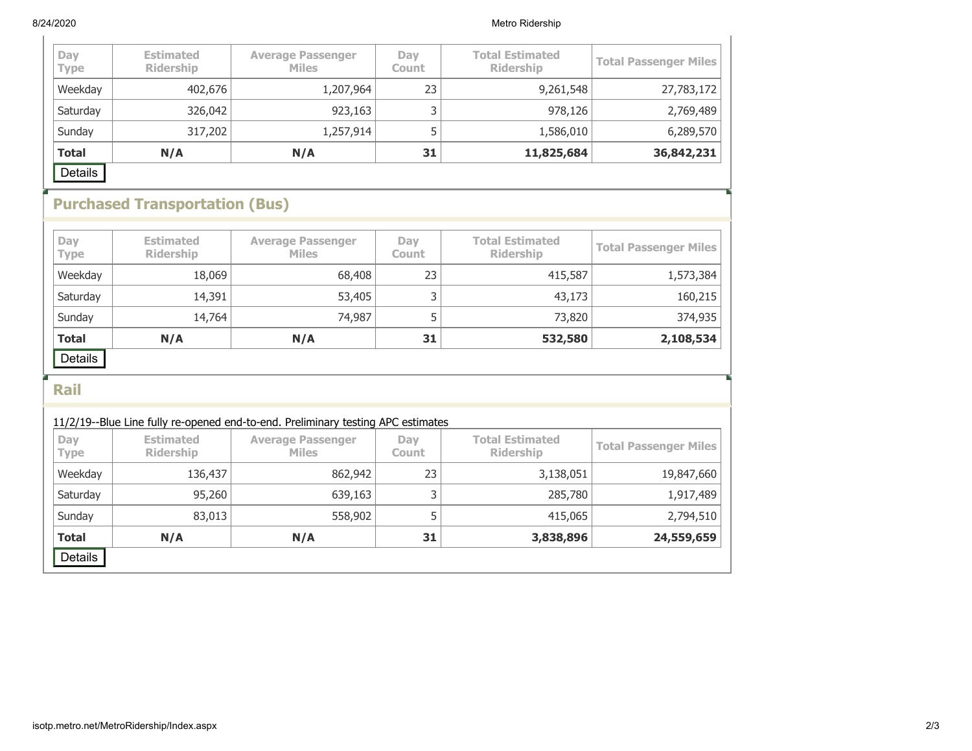■

■

| Day<br><b>Type</b> | <b>Estimated</b><br><b>Ridership</b> | <b>Average Passenger</b><br><b>Miles</b> | Day<br><b>Count</b> | <b>Total Estimated</b><br><b>Ridership</b> | <b>Total Passenger Miles</b> |
|--------------------|--------------------------------------|------------------------------------------|---------------------|--------------------------------------------|------------------------------|
| Weekday            | 402,676                              | 1,207,964                                | 23                  | 9,261,548                                  | 27,783,172                   |
| Saturday           | 326,042                              | 923,163                                  |                     | 978,126                                    | 2,769,489                    |
| Sunday             | 317,202                              | 1,257,914                                |                     | 1,586,010                                  | 6,289,570                    |
| <b>Total</b>       | N/A                                  | N/A                                      | 31                  | 11,825,684                                 | 36,842,231                   |
| Details            |                                      |                                          |                     |                                            |                              |

## **Purchased Transportation (Bus)**

| Day<br><b>Type</b> | <b>Estimated</b><br><b>Ridership</b> | <b>Average Passenger</b><br><b>Miles</b> | Day<br><b>Count</b> | <b>Total Estimated</b><br><b>Ridership</b> | <b>Total Passenger Miles</b> |
|--------------------|--------------------------------------|------------------------------------------|---------------------|--------------------------------------------|------------------------------|
| Weekday            | 18,069                               | 68,408                                   | 23                  | 415,587                                    | 1,573,384                    |
| Saturday           | 14,391                               | 53,405                                   |                     | 43,173                                     | 160,215                      |
| Sunday             | 14,764                               | 74,987                                   |                     | 73,820                                     | 374,935                      |
| <b>Total</b>       | N/A                                  | N/A                                      | 31                  | 532,580                                    | 2,108,534                    |
| Details            |                                      |                                          |                     |                                            |                              |

**Rail**

| 11/2/19--Blue Line fully re-opened end-to-end. Preliminary testing APC estimates |                                      |                                          |                     |                                            |                              |  |
|----------------------------------------------------------------------------------|--------------------------------------|------------------------------------------|---------------------|--------------------------------------------|------------------------------|--|
| Day<br><b>Type</b>                                                               | <b>Estimated</b><br><b>Ridership</b> | <b>Average Passenger</b><br><b>Miles</b> | Dav<br><b>Count</b> | <b>Total Estimated</b><br><b>Ridership</b> | <b>Total Passenger Miles</b> |  |
| Weekday                                                                          | 136,437                              | 862,942                                  | 23                  | 3,138,051                                  | 19,847,660                   |  |
| Saturday                                                                         | 95,260                               | 639,163                                  | 3                   | 285,780                                    | 1,917,489                    |  |
| Sunday                                                                           | 83,013                               | 558,902                                  | 5                   | 415,065                                    | 2,794,510                    |  |
| <b>Total</b>                                                                     | N/A                                  | N/A                                      | 31                  | 3,838,896                                  | 24,559,659                   |  |
| Details                                                                          |                                      |                                          |                     |                                            |                              |  |